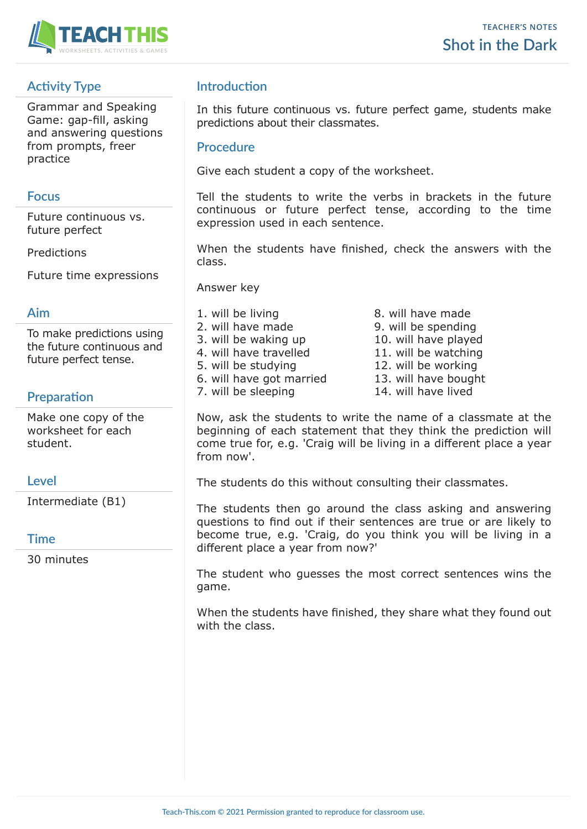

# **Activity Type**

Grammar and Speaking Game: gap-fill, asking and answering questions from prompts, freer practice

### **Focus**

Future continuous vs. future perfect

Predictions

Future time expressions

#### **Aim**

To make predictions using the future continuous and future perfect tense.

## **Preparation**

Make one copy of the worksheet for each student.

#### **Level**

Intermediate (B1)

#### **Time**

30 minutes

## **Introduction**

In this future continuous vs. future perfect game, students make predictions about their classmates.

#### **Procedure**

Give each student a copy of the worksheet.

Tell the students to write the verbs in brackets in the future continuous or future perfect tense, according to the time expression used in each sentence.

When the students have finished, check the answers with the class.

Answer key

- 1. will be living a second behind the second base of  $\theta$ . Will have made 2. will have made 9. will be spending 3. will be waking up 10. will have played 4. will have travelled 11. will be watching 5. will be studying 12. will be working 6. will have got married 13. will have bought 7. will be sleeping 14. will have lived
	-

Now, ask the students to write the name of a classmate at the beginning of each statement that they think the prediction will come true for, e.g. 'Craig will be living in a different place a year from now'.

The students do this without consulting their classmates.

The students then go around the class asking and answering questions to find out if their sentences are true or are likely to become true, e.g. 'Craig, do you think you will be living in a different place a year from now?'

The student who guesses the most correct sentences wins the game.

When the students have finished, they share what they found out with the class.